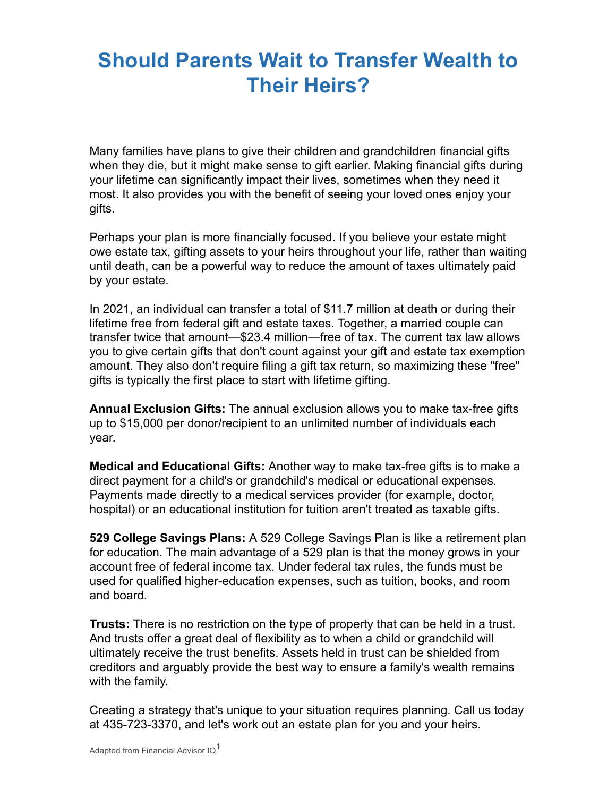## **Should Parents Wait to Transfer Wealth to Their Heirs?**

Many families have plans to give their children and grandchildren financial gifts when they die, but it might make sense to gift earlier. Making financial gifts during your lifetime can significantly impact their lives, sometimes when they need it most. It also provides you with the benefit of seeing your loved ones enjoy your gifts.

Perhaps your plan is more financially focused. If you believe your estate might owe estate tax, gifting assets to your heirs throughout your life, rather than waiting until death, can be a powerful way to reduce the amount of taxes ultimately paid by your estate.

In 2021, an individual can transfer a total of \$11.7 million at death or during their lifetime free from federal gift and estate taxes. Together, a married couple can transfer twice that amount—\$23.4 million—free of tax. The current tax law allows you to give certain gifts that don't count against your gift and estate tax exemption amount. They also don't require filing a gift tax return, so maximizing these "free" gifts is typically the first place to start with lifetime gifting.

**Annual Exclusion Gifts:** The annual exclusion allows you to make tax-free gifts up to \$15,000 per donor/recipient to an unlimited number of individuals each year.

**Medical and Educational Gifts:** Another way to make tax-free gifts is to make a direct payment for a child's or grandchild's medical or educational expenses. Payments made directly to a medical services provider (for example, doctor, hospital) or an educational institution for tuition aren't treated as taxable gifts.

**529 College Savings Plans:** A 529 College Savings Plan is like a retirement plan for education. The main advantage of a 529 plan is that the money grows in your account free of federal income tax. Under federal tax rules, the funds must be used for qualified higher-education expenses, such as tuition, books, and room and board.

**Trusts:** There is no restriction on the type of property that can be held in a trust. And trusts offer a great deal of flexibility as to when a child or grandchild will ultimately receive the trust benefits. Assets held in trust can be shielded from creditors and arguably provide the best way to ensure a family's wealth remains with the family.

Creating a strategy that's unique to your situation requires planning. Call us today at 435-723-3370, and let's work out an estate plan for you and your heirs.